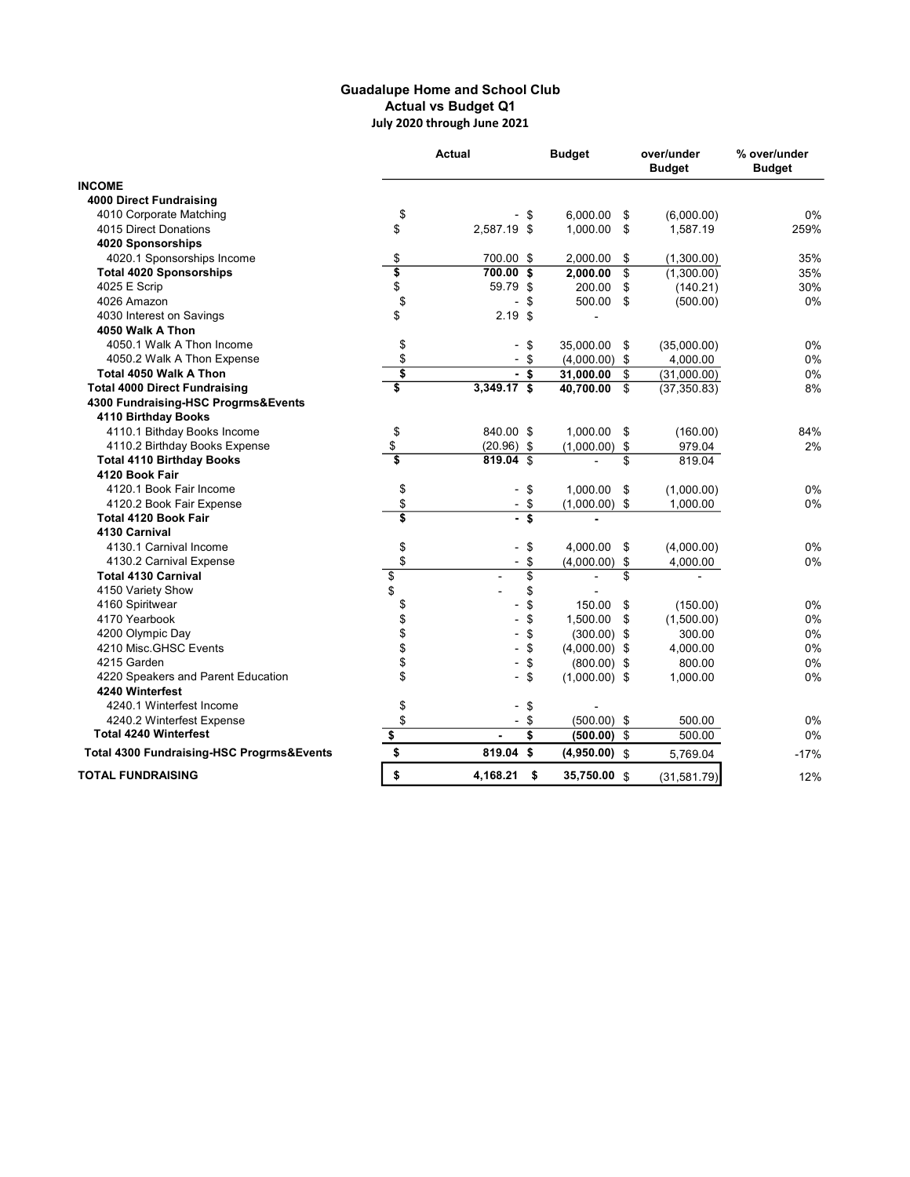## Guadalupe Home and School Club Actual vs Budget Q1 July 2020 through June 2021

|                                           |                         | <b>Actual</b> |                 | <b>Budget</b>   | over/under<br><b>Budget</b> | % over/under<br><b>Budget</b> |
|-------------------------------------------|-------------------------|---------------|-----------------|-----------------|-----------------------------|-------------------------------|
| <b>INCOME</b>                             |                         |               |                 |                 |                             |                               |
| <b>4000 Direct Fundraising</b>            |                         |               |                 |                 |                             |                               |
| 4010 Corporate Matching                   | \$                      |               | \$              | 6,000.00        | \$<br>(6,000.00)            | 0%                            |
| 4015 Direct Donations                     | \$                      | 2,587.19 \$   |                 | 1.000.00        | \$<br>1,587.19              | 259%                          |
| 4020 Sponsorships                         |                         |               |                 |                 |                             |                               |
| 4020.1 Sponsorships Income                | \$                      | 700.00 \$     |                 | 2,000.00        | \$<br>(1,300.00)            | 35%                           |
| <b>Total 4020 Sponsorships</b>            | \$                      | 700.00        | \$              | 2,000.00        | \$<br>(1,300.00)            | 35%                           |
| 4025 E Scrip                              | \$                      | 59.79 \$      |                 | 200.00          | \$<br>(140.21)              | 30%                           |
| 4026 Amazon                               | \$                      |               | \$              | 500.00          | \$<br>(500.00)              | 0%                            |
| 4030 Interest on Savings                  | \$                      | $2.19$ \$     |                 |                 |                             |                               |
| 4050 Walk A Thon                          |                         |               |                 |                 |                             |                               |
| 4050.1 Walk A Thon Income                 | \$                      |               | \$              | 35,000.00       | \$<br>(35,000.00)           | 0%                            |
| 4050.2 Walk A Thon Expense                | \$                      |               | \$              | $(4,000.00)$ \$ | 4,000.00                    | 0%                            |
| Total 4050 Walk A Thon                    | $\overline{\mathbf{s}}$ | $-$ s         |                 | 31,000.00       | \$<br>(31,000.00)           | 0%                            |
| <b>Total 4000 Direct Fundraising</b>      | $\overline{\mathbf{s}}$ | $3,349.17$ \$ |                 | 40,700.00       | \$<br>(37, 350.83)          | 8%                            |
| 4300 Fundraising-HSC Progrms&Events       |                         |               |                 |                 |                             |                               |
| 4110 Birthday Books                       |                         |               |                 |                 |                             |                               |
| 4110.1 Bithday Books Income               | \$                      | 840.00 \$     |                 | 1,000.00        | \$<br>(160.00)              | 84%                           |
| 4110.2 Birthday Books Expense             | \$                      | $(20.96)$ \$  |                 | $(1,000.00)$ \$ | 979.04                      | 2%                            |
| <b>Total 4110 Birthday Books</b>          | 3                       | $819.04$ \$   |                 |                 | \$<br>819.04                |                               |
| 4120 Book Fair                            |                         |               |                 |                 |                             |                               |
| 4120.1 Book Fair Income                   | \$                      |               | \$              | 1,000.00        | \$<br>(1,000.00)            | 0%                            |
| 4120.2 Book Fair Expense                  | \$                      | $-$ \$        |                 | $(1,000.00)$ \$ | 1,000.00                    | 0%                            |
| <b>Total 4120 Book Fair</b>               | 3                       |               |                 |                 |                             |                               |
| 4130 Carnival                             |                         |               |                 |                 |                             |                               |
| 4130.1 Carnival Income                    | \$                      |               | \$              | 4,000.00        | \$<br>(4,000.00)            | 0%                            |
| 4130.2 Carnival Expense                   | \$                      |               | \$              | $(4,000.00)$ \$ | 4,000.00                    | 0%                            |
| <b>Total 4130 Carnival</b>                | \$                      |               | $\overline{\$}$ |                 | \$                          |                               |
| 4150 Variety Show                         | \$                      |               | \$              |                 |                             |                               |
| 4160 Spiritwear                           | \$<br>\$                |               | \$              | 150.00          | \$<br>(150.00)              | 0%                            |
| 4170 Yearbook                             |                         |               | \$              | 1,500.00        | \$<br>(1,500.00)            | 0%                            |
| 4200 Olympic Day                          | \$                      |               | \$              | $(300.00)$ \$   | 300.00                      | $0\%$                         |
| 4210 Misc.GHSC Events                     | \$                      |               | \$              | $(4,000.00)$ \$ | 4,000.00                    | 0%                            |
| 4215 Garden                               | \$                      |               | \$              | $(800.00)$ \$   | 800.00                      | 0%                            |
| 4220 Speakers and Parent Education        | \$                      |               | \$              | $(1,000.00)$ \$ | 1,000.00                    | 0%                            |
| 4240 Winterfest                           |                         |               |                 |                 |                             |                               |
| 4240.1 Winterfest Income                  | \$                      |               | \$              |                 |                             |                               |
| 4240.2 Winterfest Expense                 | \$                      |               | \$              | $(500.00)$ \$   | 500.00                      | 0%                            |
| <b>Total 4240 Winterfest</b>              | \$                      |               | \$              | (500.00)        | \$<br>500.00                | 0%                            |
| Total 4300 Fundraising-HSC Progrms&Events | \$                      | 819.04 \$     |                 | $(4,950.00)$ \$ | 5,769.04                    | $-17%$                        |
| <b>TOTAL FUNDRAISING</b>                  | \$                      | 4,168.21      | - \$            | 35,750.00 \$    | (31,581.79)                 | 12%                           |